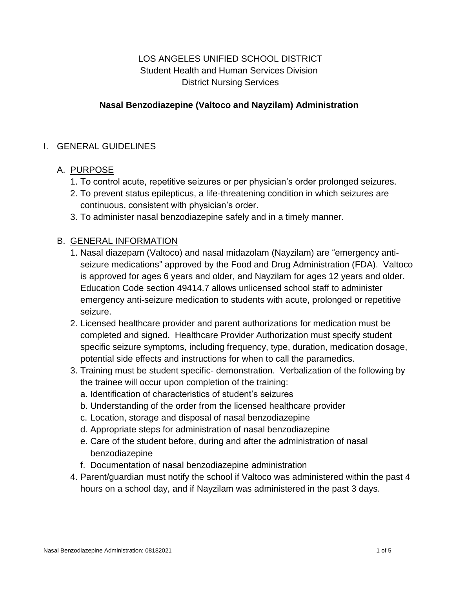# LOS ANGELES UNIFIED SCHOOL DISTRICT Student Health and Human Services Division District Nursing Services

### **Nasal Benzodiazepine (Valtoco and Nayzilam) Administration**

#### I. GENERAL GUIDELINES

### A. PURPOSE

- 1. To control acute, repetitive seizures or per physician's order prolonged seizures.
- 2. To prevent status epilepticus, a life-threatening condition in which seizures are continuous, consistent with physician's order.
- 3. To administer nasal benzodiazepine safely and in a timely manner.

### B. GENERAL INFORMATION

- 1. Nasal diazepam (Valtoco) and nasal midazolam (Nayzilam) are "emergency antiseizure medications" approved by the Food and Drug Administration (FDA). Valtoco is approved for ages 6 years and older, and Nayzilam for ages 12 years and older. Education Code section 49414.7 allows unlicensed school staff to administer emergency anti-seizure medication to students with acute, prolonged or repetitive seizure.
- 2. Licensed healthcare provider and parent authorizations for medication must be completed and signed. Healthcare Provider Authorization must specify student specific seizure symptoms, including frequency, type, duration, medication dosage, potential side effects and instructions for when to call the paramedics.
- 3. Training must be student specific- demonstration. Verbalization of the following by the trainee will occur upon completion of the training:
	- a. Identification of characteristics of student's seizures
	- b. Understanding of the order from the licensed healthcare provider
	- c. Location, storage and disposal of nasal benzodiazepine
	- d. Appropriate steps for administration of nasal benzodiazepine
	- e. Care of the student before, during and after the administration of nasal benzodiazepine
	- f. Documentation of nasal benzodiazepine administration
- 4. Parent/guardian must notify the school if Valtoco was administered within the past 4 hours on a school day, and if Nayzilam was administered in the past 3 days.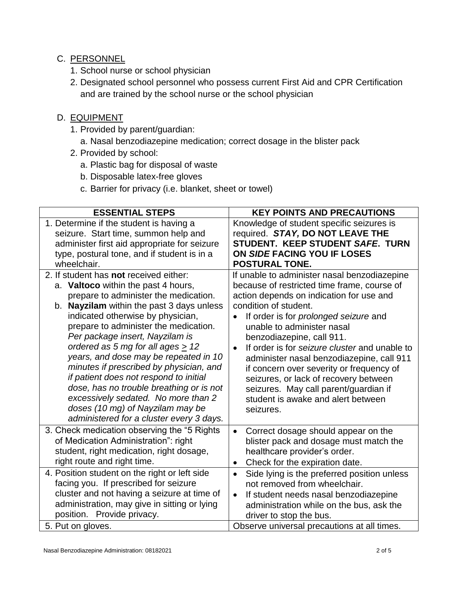# C. PERSONNEL

- 1. School nurse or school physician
- 2. Designated school personnel who possess current First Aid and CPR Certification and are trained by the school nurse or the school physician

## D. EQUIPMENT

- 1. Provided by parent/guardian:
	- a. Nasal benzodiazepine medication; correct dosage in the blister pack
- 2. Provided by school:
	- a. Plastic bag for disposal of waste
	- b. Disposable latex-free gloves
	- c. Barrier for privacy (i.e. blanket, sheet or towel)

| <b>ESSENTIAL STEPS</b>                        | <b>KEY POINTS AND PRECAUTIONS</b>                          |  |
|-----------------------------------------------|------------------------------------------------------------|--|
| 1. Determine if the student is having a       | Knowledge of student specific seizures is                  |  |
| seizure. Start time, summon help and          | required. STAY, DO NOT LEAVE THE                           |  |
| administer first aid appropriate for seizure  | STUDENT. KEEP STUDENT SAFE. TURN                           |  |
| type, postural tone, and if student is in a   | ON SIDE FACING YOU IF LOSES                                |  |
| wheelchair.                                   | <b>POSTURAL TONE.</b>                                      |  |
| 2. If student has not received either:        | If unable to administer nasal benzodiazepine               |  |
| a. Valtoco within the past 4 hours,           | because of restricted time frame, course of                |  |
| prepare to administer the medication.         | action depends on indication for use and                   |  |
| b. Nayzilam within the past 3 days unless     | condition of student.                                      |  |
| indicated otherwise by physician,             | If order is for <i>prolonged</i> seizure and               |  |
| prepare to administer the medication.         | unable to administer nasal                                 |  |
| Per package insert, Nayzilam is               | benzodiazepine, call 911.                                  |  |
| ordered as 5 mg for all ages $\geq$ 12        | If order is for seizure cluster and unable to<br>$\bullet$ |  |
| years, and dose may be repeated in 10         | administer nasal benzodiazepine, call 911                  |  |
| minutes if prescribed by physician, and       | if concern over severity or frequency of                   |  |
| if patient does not respond to initial        | seizures, or lack of recovery between                      |  |
| dose, has no trouble breathing or is not      | seizures. May call parent/guardian if                      |  |
| excessively sedated. No more than 2           | student is awake and alert between                         |  |
| doses (10 mg) of Nayzilam may be              | seizures.                                                  |  |
| administered for a cluster every 3 days.      |                                                            |  |
| 3. Check medication observing the "5 Rights"  | Correct dosage should appear on the<br>$\bullet$           |  |
| of Medication Administration": right          | blister pack and dosage must match the                     |  |
| student, right medication, right dosage,      | healthcare provider's order.                               |  |
| right route and right time.                   | Check for the expiration date.<br>$\bullet$                |  |
| 4. Position student on the right or left side | Side lying is the preferred position unless<br>$\bullet$   |  |
| facing you. If prescribed for seizure         | not removed from wheelchair.                               |  |
| cluster and not having a seizure at time of   | If student needs nasal benzodiazepine<br>$\bullet$         |  |
| administration, may give in sitting or lying  | administration while on the bus, ask the                   |  |
| position. Provide privacy.                    | driver to stop the bus.                                    |  |
| 5. Put on gloves.                             | Observe universal precautions at all times.                |  |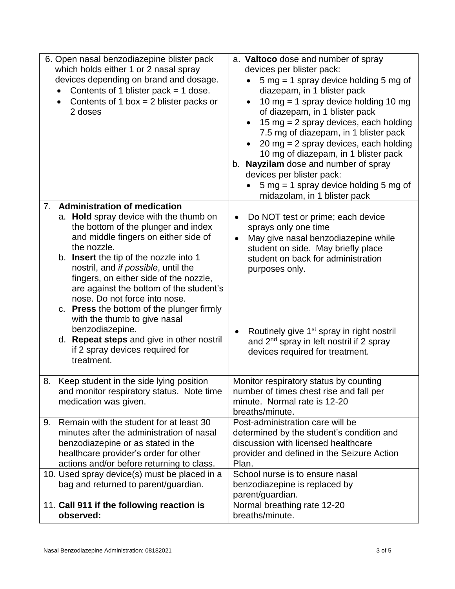| 6. Open nasal benzodiazepine blister pack<br>which holds either 1 or 2 nasal spray<br>devices depending on brand and dosage.<br>Contents of 1 blister pack $=$ 1 dose.<br>$\bullet$<br>Contents of 1 box = $2$ blister packs or<br>2 doses                                                                                                                                                                                                                                                                                                | a. Valtoco dose and number of spray<br>devices per blister pack:<br>$5 \text{ mg} = 1 \text{ spray}$ device holding $5 \text{ mg}$ of<br>diazepam, in 1 blister pack<br>10 mg = 1 spray device holding 10 mg<br>of diazepam, in 1 blister pack<br>15 mg = $2$ spray devices, each holding<br>7.5 mg of diazepam, in 1 blister pack<br>20 mg = $2$ spray devices, each holding<br>10 mg of diazepam, in 1 blister pack<br>b. Nayzilam dose and number of spray<br>devices per blister pack:<br>$5 \text{ mg} = 1 \text{ spray}$ device holding $5 \text{ mg}$ of<br>midazolam, in 1 blister pack |  |
|-------------------------------------------------------------------------------------------------------------------------------------------------------------------------------------------------------------------------------------------------------------------------------------------------------------------------------------------------------------------------------------------------------------------------------------------------------------------------------------------------------------------------------------------|-------------------------------------------------------------------------------------------------------------------------------------------------------------------------------------------------------------------------------------------------------------------------------------------------------------------------------------------------------------------------------------------------------------------------------------------------------------------------------------------------------------------------------------------------------------------------------------------------|--|
| <b>Administration of medication</b><br>7.                                                                                                                                                                                                                                                                                                                                                                                                                                                                                                 |                                                                                                                                                                                                                                                                                                                                                                                                                                                                                                                                                                                                 |  |
| a. Hold spray device with the thumb on<br>the bottom of the plunger and index<br>and middle fingers on either side of<br>the nozzle.<br>b. Insert the tip of the nozzle into 1<br>nostril, and if possible, until the<br>fingers, on either side of the nozzle,<br>are against the bottom of the student's<br>nose. Do not force into nose.<br>c. Press the bottom of the plunger firmly<br>with the thumb to give nasal<br>benzodiazepine.<br>d. Repeat steps and give in other nostril<br>if 2 spray devices required for<br>treatment. | Do NOT test or prime; each device<br>$\bullet$<br>sprays only one time<br>May give nasal benzodiazepine while<br>$\bullet$<br>student on side. May briefly place<br>student on back for administration<br>purposes only.<br>Routinely give 1 <sup>st</sup> spray in right nostril<br>$\bullet$<br>and 2 <sup>nd</sup> spray in left nostril if 2 spray<br>devices required for treatment.                                                                                                                                                                                                       |  |
|                                                                                                                                                                                                                                                                                                                                                                                                                                                                                                                                           |                                                                                                                                                                                                                                                                                                                                                                                                                                                                                                                                                                                                 |  |
| Keep student in the side lying position<br>8.<br>and monitor respiratory status. Note time<br>medication was given.                                                                                                                                                                                                                                                                                                                                                                                                                       | Monitor respiratory status by counting<br>number of times chest rise and fall per<br>minute. Normal rate is 12-20<br>breaths/minute.                                                                                                                                                                                                                                                                                                                                                                                                                                                            |  |
| Remain with the student for at least 30<br>9.                                                                                                                                                                                                                                                                                                                                                                                                                                                                                             | Post-administration care will be                                                                                                                                                                                                                                                                                                                                                                                                                                                                                                                                                                |  |
| minutes after the administration of nasal<br>benzodiazepine or as stated in the                                                                                                                                                                                                                                                                                                                                                                                                                                                           | determined by the student's condition and<br>discussion with licensed healthcare                                                                                                                                                                                                                                                                                                                                                                                                                                                                                                                |  |
| healthcare provider's order for other                                                                                                                                                                                                                                                                                                                                                                                                                                                                                                     | provider and defined in the Seizure Action                                                                                                                                                                                                                                                                                                                                                                                                                                                                                                                                                      |  |
| actions and/or before returning to class.<br>10. Used spray device(s) must be placed in a                                                                                                                                                                                                                                                                                                                                                                                                                                                 | Plan.<br>School nurse is to ensure nasal                                                                                                                                                                                                                                                                                                                                                                                                                                                                                                                                                        |  |
| bag and returned to parent/guardian.                                                                                                                                                                                                                                                                                                                                                                                                                                                                                                      | benzodiazepine is replaced by                                                                                                                                                                                                                                                                                                                                                                                                                                                                                                                                                                   |  |
|                                                                                                                                                                                                                                                                                                                                                                                                                                                                                                                                           | parent/guardian.                                                                                                                                                                                                                                                                                                                                                                                                                                                                                                                                                                                |  |
| 11. Call 911 if the following reaction is<br>observed:                                                                                                                                                                                                                                                                                                                                                                                                                                                                                    | Normal breathing rate 12-20<br>breaths/minute.                                                                                                                                                                                                                                                                                                                                                                                                                                                                                                                                                  |  |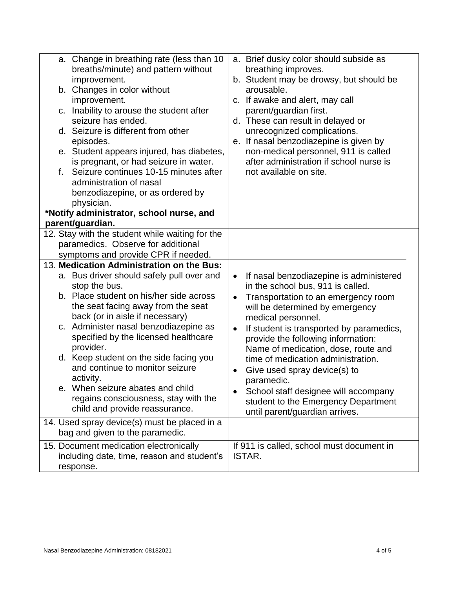| a. Change in breathing rate (less than 10<br>breaths/minute) and pattern without<br>improvement.<br>b. Changes in color without<br>improvement.<br>c. Inability to arouse the student after<br>seizure has ended.<br>d. Seizure is different from other<br>episodes.<br>e. Student appears injured, has diabetes,<br>is pregnant, or had seizure in water.<br>Seizure continues 10-15 minutes after<br>f.<br>administration of nasal<br>benzodiazepine, or as ordered by<br>physician.                                               |                                                               | a. Brief dusky color should subside as<br>breathing improves.<br>b. Student may be drowsy, but should be<br>arousable.<br>c. If awake and alert, may call<br>parent/guardian first.<br>d. These can result in delayed or<br>unrecognized complications.<br>e. If nasal benzodiazepine is given by<br>non-medical personnel, 911 is called<br>after administration if school nurse is<br>not available on site.                                                                                             |
|--------------------------------------------------------------------------------------------------------------------------------------------------------------------------------------------------------------------------------------------------------------------------------------------------------------------------------------------------------------------------------------------------------------------------------------------------------------------------------------------------------------------------------------|---------------------------------------------------------------|------------------------------------------------------------------------------------------------------------------------------------------------------------------------------------------------------------------------------------------------------------------------------------------------------------------------------------------------------------------------------------------------------------------------------------------------------------------------------------------------------------|
| *Notify administrator, school nurse, and<br>parent/guardian.                                                                                                                                                                                                                                                                                                                                                                                                                                                                         |                                                               |                                                                                                                                                                                                                                                                                                                                                                                                                                                                                                            |
| 12. Stay with the student while waiting for the<br>paramedics. Observe for additional<br>symptoms and provide CPR if needed.<br>13. Medication Administration on the Bus:                                                                                                                                                                                                                                                                                                                                                            |                                                               |                                                                                                                                                                                                                                                                                                                                                                                                                                                                                                            |
| a. Bus driver should safely pull over and<br>stop the bus.<br>b. Place student on his/her side across<br>the seat facing away from the seat<br>back (or in aisle if necessary)<br>c. Administer nasal benzodiazepine as<br>specified by the licensed healthcare<br>provider.<br>d. Keep student on the side facing you<br>and continue to monitor seizure<br>activity.<br>e. When seizure abates and child<br>regains consciousness, stay with the<br>child and provide reassurance.<br>14. Used spray device(s) must be placed in a | $\bullet$<br>$\bullet$<br>$\bullet$<br>$\bullet$<br>$\bullet$ | If nasal benzodiazepine is administered<br>in the school bus, 911 is called.<br>Transportation to an emergency room<br>will be determined by emergency<br>medical personnel.<br>If student is transported by paramedics,<br>provide the following information:<br>Name of medication, dose, route and<br>time of medication administration.<br>Give used spray device(s) to<br>paramedic.<br>School staff designee will accompany<br>student to the Emergency Department<br>until parent/guardian arrives. |
| bag and given to the paramedic.                                                                                                                                                                                                                                                                                                                                                                                                                                                                                                      |                                                               |                                                                                                                                                                                                                                                                                                                                                                                                                                                                                                            |
| 15. Document medication electronically<br>including date, time, reason and student's<br>response.                                                                                                                                                                                                                                                                                                                                                                                                                                    |                                                               | If 911 is called, school must document in<br>ISTAR.                                                                                                                                                                                                                                                                                                                                                                                                                                                        |